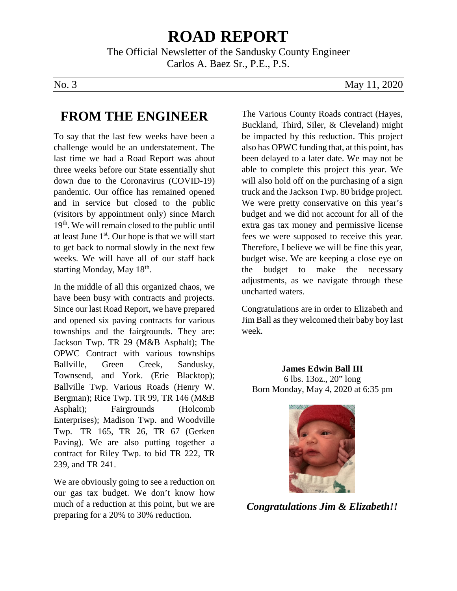# **ROAD REPORT**

The Official Newsletter of the Sandusky County Engineer Carlos A. Baez Sr., P.E., P.S.

No. 3 May 11, 2020

### **FROM THE ENGINEER**

To say that the last few weeks have been a challenge would be an understatement. The last time we had a Road Report was about three weeks before our State essentially shut down due to the Coronavirus (COVID-19) pandemic. Our office has remained opened and in service but closed to the public (visitors by appointment only) since March 19th. We will remain closed to the public until at least June 1st. Our hope is that we will start to get back to normal slowly in the next few weeks. We will have all of our staff back starting Monday, May 18<sup>th</sup>.

In the middle of all this organized chaos, we have been busy with contracts and projects. Since our last Road Report, we have prepared and opened six paving contracts for various townships and the fairgrounds. They are: Jackson Twp. TR 29 (M&B Asphalt); The OPWC Contract with various townships Ballville, Green Creek, Sandusky, Townsend, and York. (Erie Blacktop); Ballville Twp. Various Roads (Henry W. Bergman); Rice Twp. TR 99, TR 146 (M&B Asphalt); Fairgrounds (Holcomb Enterprises); Madison Twp. and Woodville Twp. TR 165, TR 26, TR 67 (Gerken Paving). We are also putting together a contract for Riley Twp. to bid TR 222, TR 239, and TR 241.

We are obviously going to see a reduction on our gas tax budget. We don't know how much of a reduction at this point, but we are preparing for a 20% to 30% reduction.

The Various County Roads contract (Hayes, Buckland, Third, Siler, & Cleveland) might be impacted by this reduction. This project also has OPWC funding that, at this point, has been delayed to a later date. We may not be able to complete this project this year. We will also hold off on the purchasing of a sign truck and the Jackson Twp. 80 bridge project. We were pretty conservative on this year's budget and we did not account for all of the extra gas tax money and permissive license fees we were supposed to receive this year. Therefore, I believe we will be fine this year, budget wise. We are keeping a close eye on the budget to make the necessary adjustments, as we navigate through these uncharted waters.

Congratulations are in order to Elizabeth and Jim Ball as they welcomed their baby boy last week.

**James Edwin Ball III** 6 lbs. 13oz., 20" long Born Monday, May 4, 2020 at 6:35 pm



*Congratulations Jim & Elizabeth!!*